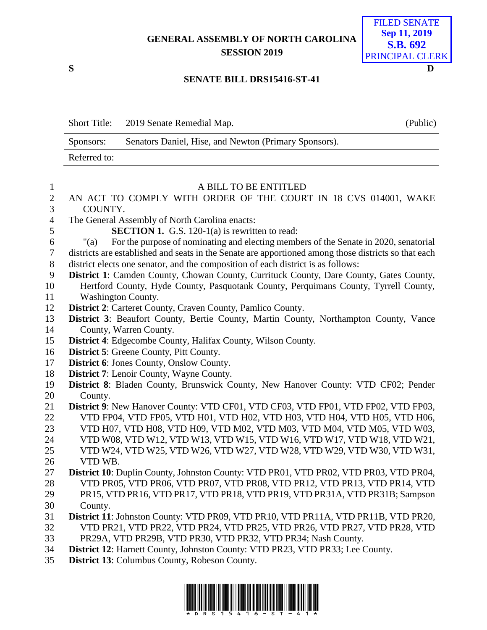## **GENERAL ASSEMBLY OF NORTH CAROLINA SESSION 2019**



## **SENATE BILL DRS15416-ST-41**

Short Title: 2019 Senate Remedial Map. (Public) Sponsors: Senators Daniel, Hise, and Newton (Primary Sponsors). Referred to:

| $\mathbf{1}$   | A BILL TO BE ENTITLED                                                                                |
|----------------|------------------------------------------------------------------------------------------------------|
| $\overline{2}$ | AN ACT TO COMPLY WITH ORDER OF THE COURT IN 18 CVS 014001, WAKE                                      |
| 3              | COUNTY.                                                                                              |
| $\overline{4}$ | The General Assembly of North Carolina enacts:                                                       |
| 5              | <b>SECTION 1.</b> G.S. 120-1(a) is rewritten to read:                                                |
| 6              | For the purpose of nominating and electing members of the Senate in 2020, senatorial<br>" $(a)$      |
| $\overline{7}$ | districts are established and seats in the Senate are apportioned among those districts so that each |
| 8              | district elects one senator, and the composition of each district is as follows:                     |
| 9              | District 1: Camden County, Chowan County, Currituck County, Dare County, Gates County,               |
| 10             | Hertford County, Hyde County, Pasquotank County, Perquimans County, Tyrrell County,                  |
| 11             | <b>Washington County.</b>                                                                            |
| 12             | <b>District 2:</b> Carteret County, Craven County, Pamlico County.                                   |
| 13             | District 3: Beaufort County, Bertie County, Martin County, Northampton County, Vance                 |
| 14             | County, Warren County.                                                                               |
| 15             | District 4: Edgecombe County, Halifax County, Wilson County.                                         |
| 16             | <b>District 5: Greene County, Pitt County.</b>                                                       |
| 17             | District 6: Jones County, Onslow County.                                                             |
| 18             | District 7: Lenoir County, Wayne County.                                                             |
| 19             | District 8: Bladen County, Brunswick County, New Hanover County: VTD CF02; Pender                    |
| 20             | County.                                                                                              |
| 21             | District 9: New Hanover County: VTD CF01, VTD CF03, VTD FP01, VTD FP02, VTD FP03,                    |
| 22             | VTD FP04, VTD FP05, VTD H01, VTD H02, VTD H03, VTD H04, VTD H05, VTD H06,                            |
| 23             | VTD H07, VTD H08, VTD H09, VTD M02, VTD M03, VTD M04, VTD M05, VTD W03,                              |
| 24             | VTD W08, VTD W12, VTD W13, VTD W15, VTD W16, VTD W17, VTD W18, VTD W21,                              |
| 25             | VTD W24, VTD W25, VTD W26, VTD W27, VTD W28, VTD W29, VTD W30, VTD W31,                              |
| 26             | VTD WB.                                                                                              |
| 27             | District 10: Duplin County, Johnston County: VTD PR01, VTD PR02, VTD PR03, VTD PR04,                 |
| 28             | VTD PR05, VTD PR06, VTD PR07, VTD PR08, VTD PR12, VTD PR13, VTD PR14, VTD                            |
| 29             | PR15, VTD PR16, VTD PR17, VTD PR18, VTD PR19, VTD PR31A, VTD PR31B; Sampson                          |
| 30             | County.                                                                                              |
| 31             | District 11: Johnston County: VTD PR09, VTD PR10, VTD PR11A, VTD PR11B, VTD PR20,                    |
| 32             | VTD PR21, VTD PR22, VTD PR24, VTD PR25, VTD PR26, VTD PR27, VTD PR28, VTD                            |
| 33             | PR29A, VTD PR29B, VTD PR30, VTD PR32, VTD PR34; Nash County.                                         |
| 34             | District 12: Harnett County, Johnston County: VTD PR23, VTD PR33; Lee County.                        |
| 35             | <b>District 13: Columbus County, Robeson County.</b>                                                 |

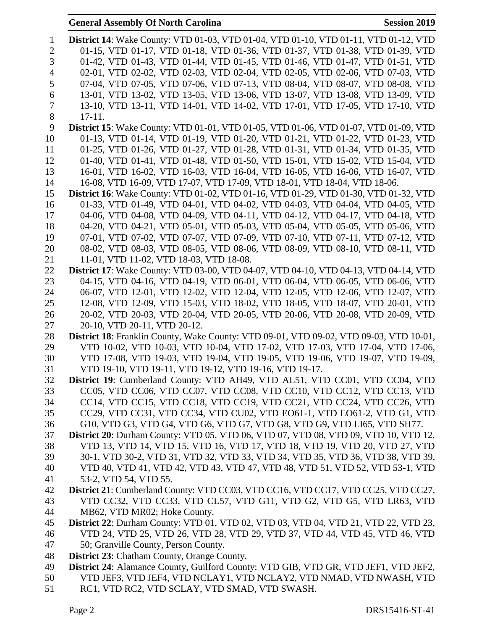## **General Assembly Of North Carolina Session 2019**

| $\mathbf{1}$   | <b>District 14:</b> Wake County: VTD 01-03, VTD 01-04, VTD 01-10, VTD 01-11, VTD 01-12, VTD                             |
|----------------|-------------------------------------------------------------------------------------------------------------------------|
| $\mathbf{2}$   | 01-15, VTD 01-17, VTD 01-18, VTD 01-36, VTD 01-37, VTD 01-38, VTD 01-39, VTD                                            |
| 3              | 01-42, VTD 01-43, VTD 01-44, VTD 01-45, VTD 01-46, VTD 01-47, VTD 01-51, VTD                                            |
| $\overline{4}$ | 02-01, VTD 02-02, VTD 02-03, VTD 02-04, VTD 02-05, VTD 02-06, VTD 07-03, VTD                                            |
| 5              | 07-04, VTD 07-05, VTD 07-06, VTD 07-13, VTD 08-04, VTD 08-07, VTD 08-08, VTD                                            |
| 6              | 13-01, VTD 13-02, VTD 13-05, VTD 13-06, VTD 13-07, VTD 13-08, VTD 13-09, VTD                                            |
| 7              | 13-10, VTD 13-11, VTD 14-01, VTD 14-02, VTD 17-01, VTD 17-05, VTD 17-10, VTD                                            |
| $8\,$          | $17-11.$                                                                                                                |
| 9              | <b>District 15:</b> Wake County: VTD 01-01, VTD 01-05, VTD 01-06, VTD 01-07, VTD 01-09, VTD                             |
| 10             | 01-13, VTD 01-14, VTD 01-19, VTD 01-20, VTD 01-21, VTD 01-22, VTD 01-23, VTD                                            |
| 11             | 01-25, VTD 01-26, VTD 01-27, VTD 01-28, VTD 01-31, VTD 01-34, VTD 01-35, VTD                                            |
| 12             | 01-40, VTD 01-41, VTD 01-48, VTD 01-50, VTD 15-01, VTD 15-02, VTD 15-04, VTD                                            |
| 13             | 16-01, VTD 16-02, VTD 16-03, VTD 16-04, VTD 16-05, VTD 16-06, VTD 16-07, VTD                                            |
| 14             | 16-08, VTD 16-09, VTD 17-07, VTD 17-09, VTD 18-01, VTD 18-04, VTD 18-06.                                                |
| 15             | <b>District 16:</b> Wake County: VTD 01-02, VTD 01-16, VTD 01-29, VTD 01-30, VTD 01-32, VTD                             |
| 16             | 01-33, VTD 01-49, VTD 04-01, VTD 04-02, VTD 04-03, VTD 04-04, VTD 04-05, VTD                                            |
| 17             | 04-06, VTD 04-08, VTD 04-09, VTD 04-11, VTD 04-12, VTD 04-17, VTD 04-18, VTD                                            |
| 18             | 04-20, VTD 04-21, VTD 05-01, VTD 05-03, VTD 05-04, VTD 05-05, VTD 05-06, VTD                                            |
| 19             | 07-01, VTD 07-02, VTD 07-07, VTD 07-09, VTD 07-10, VTD 07-11, VTD 07-12, VTD                                            |
| 20<br>21       | 08-02, VTD 08-03, VTD 08-05, VTD 08-06, VTD 08-09, VTD 08-10, VTD 08-11, VTD<br>11-01, VTD 11-02, VTD 18-03, VTD 18-08. |
| 22             | <b>District 17:</b> Wake County: VTD 03-00, VTD 04-07, VTD 04-10, VTD 04-13, VTD 04-14, VTD                             |
| 23             | 04-15, VTD 04-16, VTD 04-19, VTD 06-01, VTD 06-04, VTD 06-05, VTD 06-06, VTD                                            |
| 24             | 06-07, VTD 12-01, VTD 12-02, VTD 12-04, VTD 12-05, VTD 12-06, VTD 12-07, VTD                                            |
| 25             | 12-08, VTD 12-09, VTD 15-03, VTD 18-02, VTD 18-05, VTD 18-07, VTD 20-01, VTD                                            |
| 26             | 20-02, VTD 20-03, VTD 20-04, VTD 20-05, VTD 20-06, VTD 20-08, VTD 20-09, VTD                                            |
| 27             | 20-10, VTD 20-11, VTD 20-12.                                                                                            |
| 28             | District 18: Franklin County, Wake County: VTD 09-01, VTD 09-02, VTD 09-03, VTD 10-01,                                  |
| 29             | VTD 10-02, VTD 10-03, VTD 10-04, VTD 17-02, VTD 17-03, VTD 17-04, VTD 17-06,                                            |
| 30             | VTD 17-08, VTD 19-03, VTD 19-04, VTD 19-05, VTD 19-06, VTD 19-07, VTD 19-09,                                            |
| 31             | VTD 19-10, VTD 19-11, VTD 19-12, VTD 19-16, VTD 19-17.                                                                  |
| 32             | District 19: Cumberland County: VTD AH49, VTD AL51, VTD CC01, VTD CC04, VTD                                             |
| 33             | CC05, VTD CC06, VTD CC07, VTD CC08, VTD CC10, VTD CC12, VTD CC13, VTD                                                   |
| 34             | CC14, VTD CC15, VTD CC18, VTD CC19, VTD CC21, VTD CC24, VTD CC26, VTD                                                   |
| 35             | CC29, VTD CC31, VTD CC34, VTD CU02, VTD EO61-1, VTD EO61-2, VTD G1, VTD                                                 |
| 36             | G10, VTD G3, VTD G4, VTD G6, VTD G7, VTD G8, VTD G9, VTD LI65, VTD SH77.                                                |
| 37             | District 20: Durham County: VTD 05, VTD 06, VTD 07, VTD 08, VTD 09, VTD 10, VTD 12,                                     |
| 38             | VTD 13, VTD 14, VTD 15, VTD 16, VTD 17, VTD 18, VTD 19, VTD 20, VTD 27, VTD                                             |
| 39             | 30-1, VTD 30-2, VTD 31, VTD 32, VTD 33, VTD 34, VTD 35, VTD 36, VTD 38, VTD 39,                                         |
| 40             | VTD 40, VTD 41, VTD 42, VTD 43, VTD 47, VTD 48, VTD 51, VTD 52, VTD 53-1, VTD                                           |
| 41             | 53-2, VTD 54, VTD 55.                                                                                                   |
| 42             | District 21: Cumberland County: VTD CC03, VTD CC16, VTD CC17, VTD CC25, VTD CC27,                                       |
| 43             | VTD CC32, VTD CC33, VTD CL57, VTD G11, VTD G2, VTD G5, VTD LR63, VTD                                                    |
| 44             | MB62, VTD MR02; Hoke County.                                                                                            |
| 45             | <b>District 22:</b> Durham County: VTD 01, VTD 02, VTD 03, VTD 04, VTD 21, VTD 22, VTD 23,                              |
| 46             | VTD 24, VTD 25, VTD 26, VTD 28, VTD 29, VTD 37, VTD 44, VTD 45, VTD 46, VTD                                             |
| 47             | 50; Granville County, Person County.                                                                                    |
| 48             | <b>District 23:</b> Chatham County, Orange County.                                                                      |
| 49             | District 24: Alamance County, Guilford County: VTD GIB, VTD GR, VTD JEF1, VTD JEF2,                                     |
| 50             | VTD JEF3, VTD JEF4, VTD NCLAY1, VTD NCLAY2, VTD NMAD, VTD NWASH, VTD                                                    |
| 51             | RC1, VTD RC2, VTD SCLAY, VTD SMAD, VTD SWASH.                                                                           |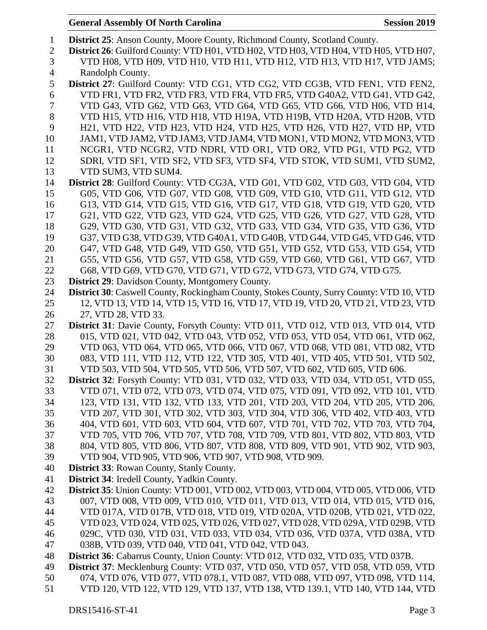**District 25**: Anson County, Moore County, Richmond County, Scotland County. **District 26**: Guilford County: VTD H01, VTD H02, VTD H03, VTD H04, VTD H05, VTD H07, VTD H08, VTD H09, VTD H10, VTD H11, VTD H12, VTD H13, VTD H17, VTD JAM5; Randolph County. **District 27**: Guilford County: VTD CG1, VTD CG2, VTD CG3B, VTD FEN1, VTD FEN2, VTD FR1, VTD FR2, VTD FR3, VTD FR4, VTD FR5, VTD G40A2, VTD G41, VTD G42, VTD G43, VTD G62, VTD G63, VTD G64, VTD G65, VTD G66, VTD H06, VTD H14, VTD H15, VTD H16, VTD H18, VTD H19A, VTD H19B, VTD H20A, VTD H20B, VTD H21, VTD H22, VTD H23, VTD H24, VTD H25, VTD H26, VTD H27, VTD HP, VTD JAM1, VTD JAM2, VTD JAM3, VTD JAM4, VTD MON1, VTD MON2, VTD MON3, VTD NCGR1, VTD NCGR2, VTD NDRI, VTD OR1, VTD OR2, VTD PG1, VTD PG2, VTD SDRI, VTD SF1, VTD SF2, VTD SF3, VTD SF4, VTD STOK, VTD SUM1, VTD SUM2, VTD SUM3, VTD SUM4. **District 28**: Guilford County: VTD CG3A, VTD G01, VTD G02, VTD G03, VTD G04, VTD G05, VTD G06, VTD G07, VTD G08, VTD G09, VTD G10, VTD G11, VTD G12, VTD G13, VTD G14, VTD G15, VTD G16, VTD G17, VTD G18, VTD G19, VTD G20, VTD G21, VTD G22, VTD G23, VTD G24, VTD G25, VTD G26, VTD G27, VTD G28, VTD G29, VTD G30, VTD G31, VTD G32, VTD G33, VTD G34, VTD G35, VTD G36, VTD G37, VTD G38, VTD G39, VTD G40A1, VTD G40B, VTD G44, VTD G45, VTD G46, VTD G47, VTD G48, VTD G49, VTD G50, VTD G51, VTD G52, VTD G53, VTD G54, VTD G55, VTD G56, VTD G57, VTD G58, VTD G59, VTD G60, VTD G61, VTD G67, VTD G68, VTD G69, VTD G70, VTD G71, VTD G72, VTD G73, VTD G74, VTD G75. **District 29**: Davidson County, Montgomery County. **District 30**: Caswell County, Rockingham County, Stokes County, Surry County: VTD 10, VTD 12, VTD 13, VTD 14, VTD 15, VTD 16, VTD 17, VTD 19, VTD 20, VTD 21, VTD 23, VTD 27, VTD 28, VTD 33. **District 31**: Davie County, Forsyth County: VTD 011, VTD 012, VTD 013, VTD 014, VTD 015, VTD 021, VTD 042, VTD 043, VTD 052, VTD 053, VTD 054, VTD 061, VTD 062, VTD 063, VTD 064, VTD 065, VTD 066, VTD 067, VTD 068, VTD 081, VTD 082, VTD 083, VTD 111, VTD 112, VTD 122, VTD 305, VTD 401, VTD 405, VTD 501, VTD 502, VTD 503, VTD 504, VTD 505, VTD 506, VTD 507, VTD 602, VTD 605, VTD 606. **District 32**: Forsyth County: VTD 031, VTD 032, VTD 033, VTD 034, VTD 051, VTD 055, VTD 071, VTD 072, VTD 073, VTD 074, VTD 075, VTD 091, VTD 092, VTD 101, VTD 123, VTD 131, VTD 132, VTD 133, VTD 201, VTD 203, VTD 204, VTD 205, VTD 206, VTD 207, VTD 301, VTD 302, VTD 303, VTD 304, VTD 306, VTD 402, VTD 403, VTD 404, VTD 601, VTD 603, VTD 604, VTD 607, VTD 701, VTD 702, VTD 703, VTD 704, VTD 705, VTD 706, VTD 707, VTD 708, VTD 709, VTD 801, VTD 802, VTD 803, VTD 804, VTD 805, VTD 806, VTD 807, VTD 808, VTD 809, VTD 901, VTD 902, VTD 903, VTD 904, VTD 905, VTD 906, VTD 907, VTD 908, VTD 909. **District 33**: Rowan County, Stanly County. **District 34**: Iredell County, Yadkin County. **District 35**: Union County: VTD 001, VTD 002, VTD 003, VTD 004, VTD 005, VTD 006, VTD 007, VTD 008, VTD 009, VTD 010, VTD 011, VTD 013, VTD 014, VTD 015, VTD 016, VTD 017A, VTD 017B, VTD 018, VTD 019, VTD 020A, VTD 020B, VTD 021, VTD 022, VTD 023, VTD 024, VTD 025, VTD 026, VTD 027, VTD 028, VTD 029A, VTD 029B, VTD 029C, VTD 030, VTD 031, VTD 033, VTD 034, VTD 036, VTD 037A, VTD 038A, VTD 038B, VTD 039, VTD 040, VTD 041, VTD 042, VTD 043. **District 36**: Cabarrus County, Union County: VTD 012, VTD 032, VTD 035, VTD 037B. **District 37**: Mecklenburg County: VTD 037, VTD 050, VTD 057, VTD 058, VTD 059, VTD 074, VTD 076, VTD 077, VTD 078.1, VTD 087, VTD 088, VTD 097, VTD 098, VTD 114, VTD 120, VTD 122, VTD 129, VTD 137, VTD 138, VTD 139.1, VTD 140, VTD 144, VTD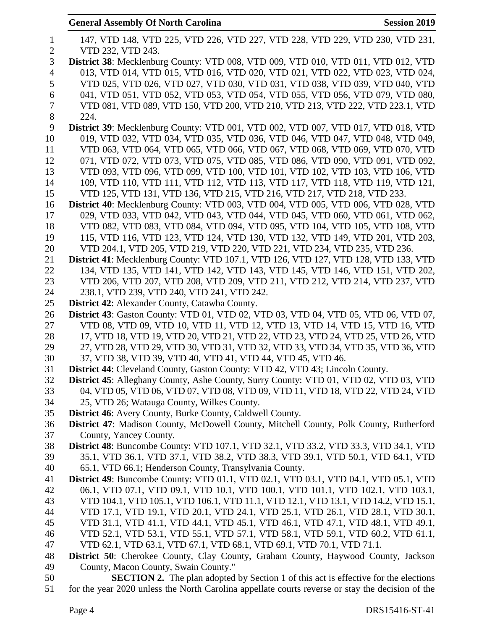|                | <b>General Assembly Of North Carolina</b><br><b>Session 2019</b>                                                                                         |
|----------------|----------------------------------------------------------------------------------------------------------------------------------------------------------|
| $\mathbf{1}$   | 147, VTD 148, VTD 225, VTD 226, VTD 227, VTD 228, VTD 229, VTD 230, VTD 231,                                                                             |
| $\mathbf{2}$   | VTD 232, VTD 243.                                                                                                                                        |
| 3              | District 38: Mecklenburg County: VTD 008, VTD 009, VTD 010, VTD 011, VTD 012, VTD                                                                        |
| $\overline{4}$ | 013, VTD 014, VTD 015, VTD 016, VTD 020, VTD 021, VTD 022, VTD 023, VTD 024,                                                                             |
| 5              | VTD 025, VTD 026, VTD 027, VTD 030, VTD 031, VTD 038, VTD 039, VTD 040, VTD                                                                              |
| 6              | 041, VTD 051, VTD 052, VTD 053, VTD 054, VTD 055, VTD 056, VTD 079, VTD 080,                                                                             |
| 7              | VTD 081, VTD 089, VTD 150, VTD 200, VTD 210, VTD 213, VTD 222, VTD 223.1, VTD                                                                            |
| $8\,$          | 224.                                                                                                                                                     |
| 9              | District 39: Mecklenburg County: VTD 001, VTD 002, VTD 007, VTD 017, VTD 018, VTD                                                                        |
| 10             | 019, VTD 032, VTD 034, VTD 035, VTD 036, VTD 046, VTD 047, VTD 048, VTD 049,                                                                             |
| 11             | VTD 063, VTD 064, VTD 065, VTD 066, VTD 067, VTD 068, VTD 069, VTD 070, VTD                                                                              |
| 12             | 071, VTD 072, VTD 073, VTD 075, VTD 085, VTD 086, VTD 090, VTD 091, VTD 092,                                                                             |
| 13             | VTD 093, VTD 096, VTD 099, VTD 100, VTD 101, VTD 102, VTD 103, VTD 106, VTD                                                                              |
| 14             | 109, VTD 110, VTD 111, VTD 112, VTD 113, VTD 117, VTD 118, VTD 119, VTD 121,                                                                             |
| 15             | VTD 125, VTD 131, VTD 136, VTD 215, VTD 216, VTD 217, VTD 218, VTD 233.                                                                                  |
| 16             | District 40: Mecklenburg County: VTD 003, VTD 004, VTD 005, VTD 006, VTD 028, VTD                                                                        |
| 17             | 029, VTD 033, VTD 042, VTD 043, VTD 044, VTD 045, VTD 060, VTD 061, VTD 062,                                                                             |
| 18             | VTD 082, VTD 083, VTD 084, VTD 094, VTD 095, VTD 104, VTD 105, VTD 108, VTD                                                                              |
| 19             | 115, VTD 116, VTD 123, VTD 124, VTD 130, VTD 132, VTD 149, VTD 201, VTD 203,                                                                             |
| 20             | VTD 204.1, VTD 205, VTD 219, VTD 220, VTD 221, VTD 234, VTD 235, VTD 236.                                                                                |
| 21             | District 41: Mecklenburg County: VTD 107.1, VTD 126, VTD 127, VTD 128, VTD 133, VTD                                                                      |
| 22             | 134, VTD 135, VTD 141, VTD 142, VTD 143, VTD 145, VTD 146, VTD 151, VTD 202,                                                                             |
| 23             | VTD 206, VTD 207, VTD 208, VTD 209, VTD 211, VTD 212, VTD 214, VTD 237, VTD                                                                              |
| 24             | 238.1, VTD 239, VTD 240, VTD 241, VTD 242.                                                                                                               |
| 25             | <b>District 42:</b> Alexander County, Catawba County.                                                                                                    |
| 26             | <b>District 43:</b> Gaston County: VTD 01, VTD 02, VTD 03, VTD 04, VTD 05, VTD 06, VTD 07,                                                               |
| 27             | VTD 08, VTD 09, VTD 10, VTD 11, VTD 12, VTD 13, VTD 14, VTD 15, VTD 16, VTD                                                                              |
| 28             | 17, VTD 18, VTD 19, VTD 20, VTD 21, VTD 22, VTD 23, VTD 24, VTD 25, VTD 26, VTD                                                                          |
| 29             | 27, VTD 28, VTD 29, VTD 30, VTD 31, VTD 32, VTD 33, VTD 34, VTD 35, VTD 36, VTD                                                                          |
| 30             | 37, VTD 38, VTD 39, VTD 40, VTD 41, VTD 44, VTD 45, VTD 46.                                                                                              |
| 31             | District 44: Cleveland County, Gaston County: VTD 42, VTD 43; Lincoln County.                                                                            |
| 32             | <b>District 45:</b> Alleghany County, Ashe County, Surry County: VTD 01, VTD 02, VTD 03, VTD                                                             |
| 33             | 04, VTD 05, VTD 06, VTD 07, VTD 08, VTD 09, VTD 11, VTD 18, VTD 22, VTD 24, VTD                                                                          |
| 34             | 25, VTD 26; Watauga County, Wilkes County.                                                                                                               |
| 35             | <b>District 46:</b> Avery County, Burke County, Caldwell County.                                                                                         |
| 36             | District 47: Madison County, McDowell County, Mitchell County, Polk County, Rutherford                                                                   |
| 37             | County, Yancey County.                                                                                                                                   |
| 38             | District 48: Buncombe County: VTD 107.1, VTD 32.1, VTD 33.2, VTD 33.3, VTD 34.1, VTD                                                                     |
| 39             | 35.1, VTD 36.1, VTD 37.1, VTD 38.2, VTD 38.3, VTD 39.1, VTD 50.1, VTD 64.1, VTD                                                                          |
| 40             | 65.1, VTD 66.1; Henderson County, Transylvania County.                                                                                                   |
| 41             | <b>District 49:</b> Buncombe County: VTD 01.1, VTD 02.1, VTD 03.1, VTD 04.1, VTD 05.1, VTD                                                               |
| 42             | 06.1, VTD 07.1, VTD 09.1, VTD 10.1, VTD 100.1, VTD 101.1, VTD 102.1, VTD 103.1,                                                                          |
| 43             | VTD 104.1, VTD 105.1, VTD 106.1, VTD 11.1, VTD 12.1, VTD 13.1, VTD 14.2, VTD 15.1,                                                                       |
| 44             | VTD 17.1, VTD 19.1, VTD 20.1, VTD 24.1, VTD 25.1, VTD 26.1, VTD 28.1, VTD 30.1,                                                                          |
| 45             | VTD 31.1, VTD 41.1, VTD 44.1, VTD 45.1, VTD 46.1, VTD 47.1, VTD 48.1, VTD 49.1,                                                                          |
| 46<br>47       | VTD 52.1, VTD 53.1, VTD 55.1, VTD 57.1, VTD 58.1, VTD 59.1, VTD 60.2, VTD 61.1,<br>VTD 62.1, VTD 63.1, VTD 67.1, VTD 68.1, VTD 69.1, VTD 70.1, VTD 71.1. |
| 48             | District 50: Cherokee County, Clay County, Graham County, Haywood County, Jackson                                                                        |
| 49             | County, Macon County, Swain County."                                                                                                                     |
| 50             | <b>SECTION 2.</b> The plan adopted by Section 1 of this act is effective for the elections                                                               |
|                |                                                                                                                                                          |